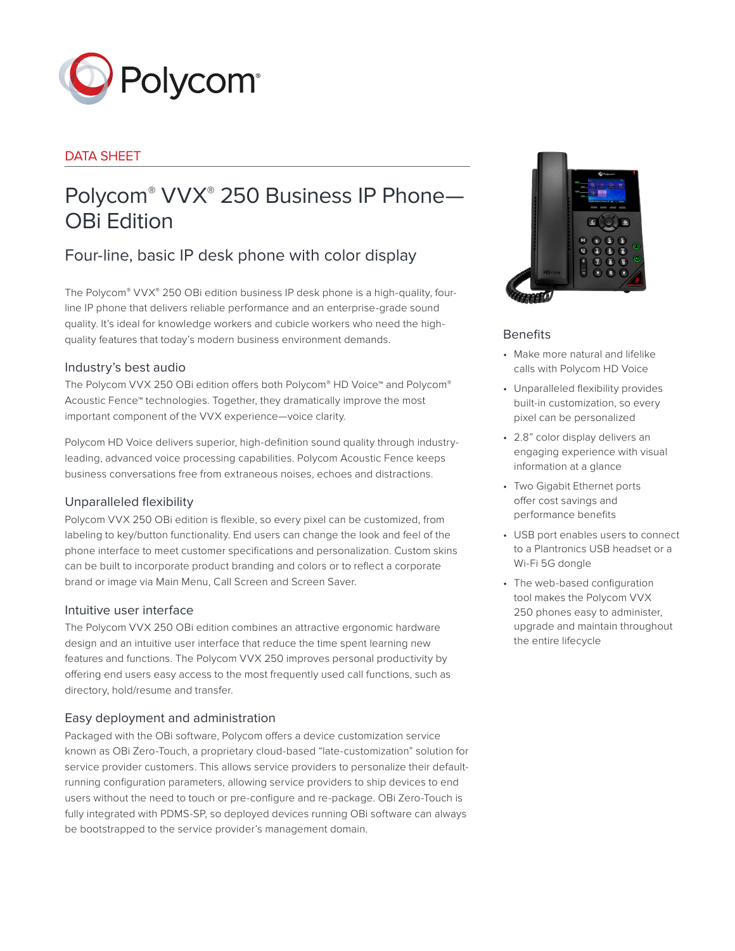

# DATA SHEET

# Polycom® VVX® 250 Business IP Phone— OBi Edition

# Four-line, basic IP desk phone with color display

The Polycom® VVX® 250 OBi edition business IP desk phone is a high-quality, fourline IP phone that delivers reliable performance and an enterprise-grade sound quality. It's ideal for knowledge workers and cubicle workers who need the highquality features that today's modern business environment demands.

# Industry's best audio

The Polycom VVX 250 OBi edition offers both Polycom® HD Voice™ and Polycom® Acoustic Fence™ technologies. Together, they dramatically improve the most important component of the VVX experience—voice clarity.

Polycom HD Voice delivers superior, high-definition sound quality through industryleading, advanced voice processing capabilities. Polycom Acoustic Fence keeps business conversations free from extraneous noises, echoes and distractions.

# Unparalleled flexibility

Polycom VVX 250 OBi edition is flexible, so every pixel can be customized, from labeling to key/button functionality. End users can change the look and feel of the phone interface to meet customer specifications and personalization. Custom skins can be built to incorporate product branding and colors or to reflect a corporate brand or image via Main Menu, Call Screen and Screen Saver.

## Intuitive user interface

The Polycom VVX 250 OBi edition combines an attractive ergonomic hardware design and an intuitive user interface that reduce the time spent learning new features and functions. The Polycom VVX 250 improves personal productivity by offering end users easy access to the most frequently used call functions, such as directory, hold/resume and transfer.

## Easy deployment and administration

Packaged with the OBi software, Polycom offers a device customization service known as OBi Zero-Touch, a proprietary cloud-based "late-customization" solution for service provider customers. This allows service providers to personalize their defaultrunning configuration parameters, allowing service providers to ship devices to end users without the need to touch or pre-configure and re-package. OBi Zero-Touch is fully integrated with PDMS-SP, so deployed devices running OBi software can always be bootstrapped to the service provider's management domain.



# **Benefits**

- Make more natural and lifelike calls with Polycom HD Voice
- Unparalleled flexibility provides built-in customization, so every pixel can be personalized
- 2.8" color display delivers an engaging experience with visual information at a glance
- Two Gigabit Ethernet ports offer cost savings and performance benefits
- USB port enables users to connect to a Plantronics USB headset or a Wi-Fi 5G dongle
- The web-based configuration tool makes the Polycom VVX 250 phones easy to administer, upgrade and maintain throughout the entire lifecycle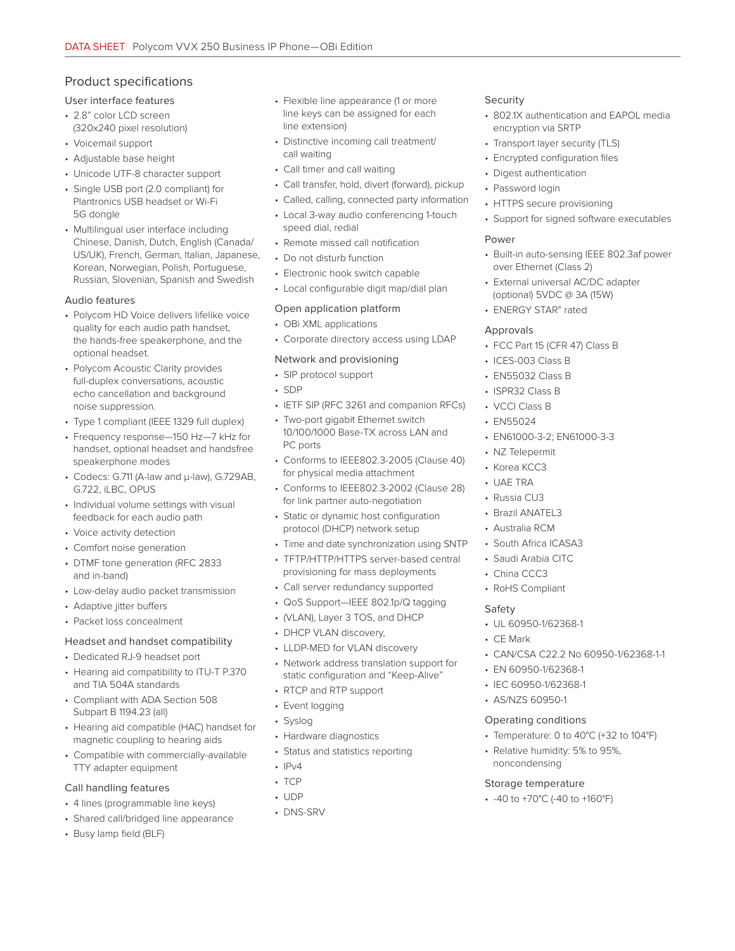# Product specifications

#### User interface features

- 2.8" color LCD screen (320x240 pixel resolution)
- Voicemail support
- Adjustable base height
- Unicode UTF-8 character support
- Single USB port (2.0 compliant) for Plantronics USB headset or Wi-Fi 5G dongle
- Multilingual user interface including Chinese, Danish, Dutch, English (Canada/ US/UK), French, German, Italian, Japanese, Korean, Norwegian, Polish, Portuguese, Russian, Slovenian, Spanish and Swedish

#### Audio features

- Polycom HD Voice delivers lifelike voice quality for each audio path handset, the hands-free speakerphone, and the optional headset.
- Polycom Acoustic Clarity provides full-duplex conversations, acoustic echo cancellation and background noise suppression.
- Type 1 compliant (IEEE 1329 full duplex)
- Frequency response—150 Hz—7 kHz for handset, optional headset and handsfree speakerphone modes
- Codecs: G.711 (A-law and μ-law), G.729AB, G.722, iLBC, OPUS
- Individual volume settings with visual feedback for each audio path
- Voice activity detection
- Comfort noise generation
- DTMF tone generation (RFC 2833 and in-band)
- Low-delay audio packet transmission
- Adaptive jitter buffers
- Packet loss concealment

#### Headset and handset compatibility

- Dedicated RJ-9 headset port
- Hearing aid compatibility to ITU-T P.370 and TIA 504A standards
- Compliant with ADA Section 508 Subpart B 1194.23 (all)
- Hearing aid compatible (HAC) handset for magnetic coupling to hearing aids
- Compatible with commercially-available TTY adapter equipment

#### Call handling features

- 4 lines (programmable line keys)
- Shared call/bridged line appearance
- Busy lamp field (BLF)
- Flexible line appearance (1 or more line keys can be assigned for each line extension)
- Distinctive incoming call treatment/ call waiting
- Call timer and call waiting
- Call transfer, hold, divert (forward), pickup
- Called, calling, connected party information
- Local 3-way audio conferencing 1-touch speed dial, redial
- Remote missed call notification
- Do not disturb function
- Electronic hook switch capable
- Local configurable digit map/dial plan

#### Open application platform

- OBi XML applications
- Corporate directory access using LDAP

#### Network and provisioning

- SIP protocol support
- SDP
- IETF SIP (RFC 3261 and companion RFCs)
- Two-port gigabit Ethernet switch 10/100/1000 Base-TX across LAN and PC ports
- Conforms to IEEE802.3-2005 (Clause 40) for physical media attachment
- Conforms to IEEE802.3-2002 (Clause 28) for link partner auto-negotiation
- Static or dynamic host configuration protocol (DHCP) network setup
- Time and date synchronization using SNTP
- TFTP/HTTP/HTTPS server-based central provisioning for mass deployments
- Call server redundancy supported
- QoS Support—IEEE 802.1p/Q tagging
- (VLAN), Layer 3 TOS, and DHCP
- DHCP VLAN discovery,
- LLDP-MED for VLAN discovery
- Network address translation support for static configuration and "Keep-Alive"
- RTCP and RTP support
- Event logging
- Syslog
- Hardware diagnostics
- Status and statistics reporting
- $\cdot$  IPv4
- TCP
- UDP
- DNS-SRV

#### Security

- 802.1X authentication and EAPOL media encryption via SRTP
- Transport layer security (TLS)
- Encrypted configuration files
- Digest authentication
- Password login
- HTTPS secure provisioning
- Support for signed software executables

#### Power

- Built-in auto-sensing IEEE 802.3af power over Ethernet (Class 2)
- External universal AC/DC adapter (optional) 5VDC @ 3A (15W)
- ENERGY STAR® rated

#### Approvals

- FCC Part 15 (CFR 47) Class B
- ICES-003 Class B
- EN55032 Class B
- ISPR32 Class B
	- VCCI Class B
- EN55024
- EN61000-3-2; EN61000-3-3
- NZ Telepermit
- Korea KCC3
- UAE TRA
- Russia CU3
- Brazil ANATEL3
- Australia RCM
- South Africa ICASA3
- Saudi Arabia CITC
- China CCC3

Safety

• CE Mark

• RoHS Compliant

• UL 60950-1/62368-1

• EN 60950-1/62368-1 • IEC 60950-1/62368-1 • AS/NZS 60950-1 Operating conditions

noncondensing Storage temperature • -40 to +70°C (-40 to +160°F)

• CAN/CSA C22.2 No 60950-1/62368-1-1

• Temperature: 0 to 40°C (+32 to 104°F) • Relative humidity: 5% to 95%,